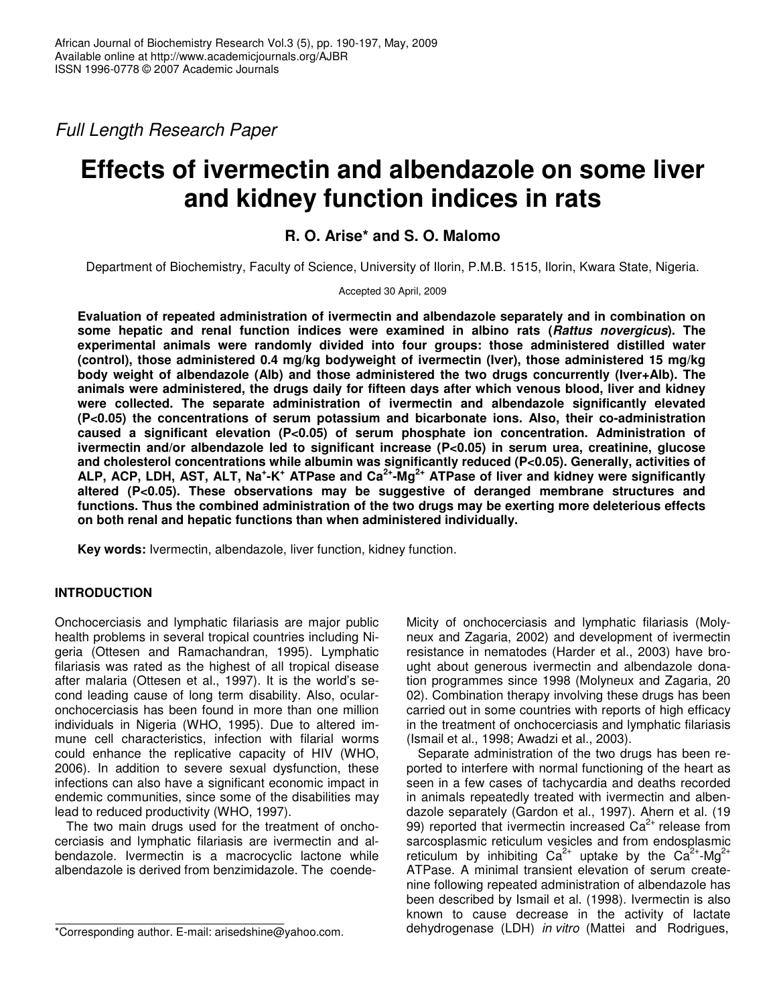*Full Length Research Paper*

# **Effects of ivermectin and albendazole on some liver and kidney function indices in rats**

## **R. O. Arise\* and S. O. Malomo**

Department of Biochemistry, Faculty of Science, University of Ilorin, P.M.B. 1515, Ilorin, Kwara State, Nigeria.

Accepted 30 April, 2009

**Evaluation of repeated administration of ivermectin and albendazole separately and in combination on some hepatic and renal function indices were examined in albino rats (***Rattus novergicus***). The experimental animals were randomly divided into four groups: those administered distilled water (control), those administered 0.4 mg/kg bodyweight of ivermectin (Iver), those administered 15 mg/kg body weight of albendazole (Alb) and those administered the two drugs concurrently (Iver+Alb). The animals were administered, the drugs daily for fifteen days after which venous blood, liver and kidney were collected. The separate administration of ivermectin and albendazole significantly elevated (P<0.05) the concentrations of serum potassium and bicarbonate ions. Also, their co-administration caused a significant elevation (P<0.05) of serum phosphate ion concentration. Administration of ivermectin and/or albendazole led to significant increase (P<0.05) in serum urea, creatinine, glucose and cholesterol concentrations while albumin was significantly reduced (P<0.05). Generally, activities of** ALP, ACP, LDH, AST, ALT, Na<sup>+</sup>-K<sup>+</sup> ATPase and Ca<sup>2+</sup>-Mg<sup>2+</sup> ATPase of liver and kidney were significantly **altered (P<0.05). These observations may be suggestive of deranged membrane structures and functions. Thus the combined administration of the two drugs may be exerting more deleterious effects on both renal and hepatic functions than when administered individually.**

**Key words:** Ivermectin, albendazole, liver function, kidney function.

## **INTRODUCTION**

Onchocerciasis and lymphatic filariasis are major public health problems in several tropical countries including Nigeria (Ottesen and Ramachandran, 1995). Lymphatic filariasis was rated as the highest of all tropical disease after malaria (Ottesen et al., 1997). It is the world's second leading cause of long term disability. Also, ocularonchocerciasis has been found in more than one million individuals in Nigeria (WHO, 1995). Due to altered immune cell characteristics, infection with filarial worms could enhance the replicative capacity of HIV (WHO, 2006). In addition to severe sexual dysfunction, these infections can also have a significant economic impact in endemic communities, since some of the disabilities may lead to reduced productivity (WHO, 1997).

The two main drugs used for the treatment of onchocerciasis and lymphatic filariasis are ivermectin and albendazole. Ivermectin is a macrocyclic lactone while albendazole is derived from benzimidazole. The coendeMicity of onchocerciasis and lymphatic filariasis (Molyneux and Zagaria, 2002) and development of ivermectin resistance in nematodes (Harder et al., 2003) have brought about generous ivermectin and albendazole donation programmes since 1998 (Molyneux and Zagaria, 20 02). Combination therapy involving these drugs has been carried out in some countries with reports of high efficacy in the treatment of onchocerciasis and lymphatic filariasis (Ismail et al., 1998; Awadzi et al., 2003).

Separate administration of the two drugs has been reported to interfere with normal functioning of the heart as seen in a few cases of tachycardia and deaths recorded in animals repeatedly treated with ivermectin and albendazole separately (Gardon et al., 1997). Ahern et al. (19 99) reported that ivermectin increased  $Ca^{2+}$  release from sarcosplasmic reticulum vesicles and from endosplasmic reticulum by inhibiting Ca<sup>2+</sup> uptake by the Ca<sup>2+</sup>-Mg<sup>2+</sup> ATPase. A minimal transient elevation of serum createnine following repeated administration of albendazole has been described by Ismail et al. (1998). Ivermectin is also known to cause decrease in the activity of lactate dehydrogenase (LDH) *in vitro* (Mattei and Rodrigues,

<sup>\*</sup>Corresponding author. E-mail: arisedshine@yahoo.com.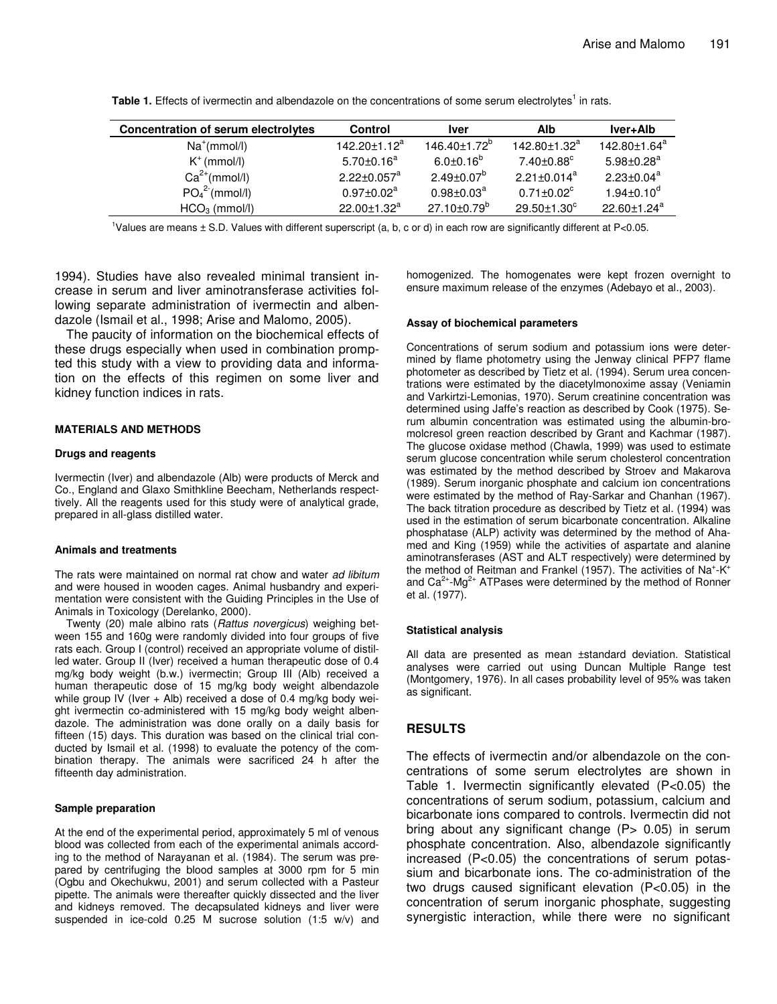| <b>Concentration of serum electrolytes</b> | <b>Control</b>              | <b>Iver</b>               | Alb                          | lver+Alb                      |
|--------------------------------------------|-----------------------------|---------------------------|------------------------------|-------------------------------|
| $Na^+(mmol/l)$                             | $142.20 \pm 1.12^a$         | $146.40 \pm 1.72^{\circ}$ | 142.80±1.32 <sup>a</sup>     | 142.80±1.64 <sup>a</sup>      |
| $K^+$ (mmol/l)                             | $5.70 \pm 0.16^a$           | $6.0 \pm 0.16^b$          | $7.40{\pm}0.88^{\circ}$      | $5.98 \pm 0.28^a$             |
| $Ca^{2+}(mmol/l)$                          | $2.22 \pm 0.057^a$          | $2.49 \pm 0.07^b$         | $2.21 \pm 0.014^a$           | $2.23 \pm 0.04^a$             |
| PO <sub>4</sub> <sup>2</sup> (mmol/l)      | $0.97 \pm 0.02^a$           | $0.98 \pm 0.03^a$         | $0.71 \pm 0.02$ <sup>c</sup> | $1.94 \pm 0.10^{\circ}$       |
| $HCO3$ (mmol/l)                            | 22.00 $\pm$ 1.32 $^{\rm a}$ | $27.10 \pm 0.79^b$        | $29.50 \pm 1.30^{\circ}$     | $22.60 \pm 1.24$ <sup>a</sup> |

Table 1. Effects of ivermectin and albendazole on the concentrations of some serum electrolytes<sup>1</sup> in rats.

<sup>1</sup>Values are means  $\pm$  S.D. Values with different superscript (a, b, c or d) in each row are significantly different at P<0.05.

1994). Studies have also revealed minimal transient increase in serum and liver aminotransferase activities following separate administration of ivermectin and albendazole (Ismail et al., 1998; Arise and Malomo, 2005).

The paucity of information on the biochemical effects of these drugs especially when used in combination prompted this study with a view to providing data and information on the effects of this regimen on some liver and kidney function indices in rats.

#### **MATERIALS AND METHODS**

#### **Drugs and reagents**

Ivermectin (Iver) and albendazole (Alb) were products of Merck and Co., England and Glaxo Smithkline Beecham, Netherlands respecttively. All the reagents used for this study were of analytical grade, prepared in all-glass distilled water.

#### **Animals and treatments**

The rats were maintained on normal rat chow and water *ad libitum* and were housed in wooden cages. Animal husbandry and experimentation were consistent with the Guiding Principles in the Use of Animals in Toxicology (Derelanko, 2000).

Twenty (20) male albino rats (*Rattus novergicus*) weighing between 155 and 160g were randomly divided into four groups of five rats each. Group I (control) received an appropriate volume of distilled water. Group II (Iver) received a human therapeutic dose of 0.4 mg/kg body weight (b.w.) ivermectin; Group III (Alb) received a human therapeutic dose of 15 mg/kg body weight albendazole while group IV (Iver  $+$  Alb) received a dose of 0.4 mg/kg body weight ivermectin co-administered with 15 mg/kg body weight albendazole. The administration was done orally on a daily basis for fifteen (15) days. This duration was based on the clinical trial conducted by Ismail et al. (1998) to evaluate the potency of the combination therapy. The animals were sacrificed 24 h after the fifteenth day administration.

#### **Sample preparation**

At the end of the experimental period, approximately 5 ml of venous blood was collected from each of the experimental animals according to the method of Narayanan et al. (1984). The serum was prepared by centrifuging the blood samples at 3000 rpm for 5 min (Ogbu and Okechukwu, 2001) and serum collected with a Pasteur pipette. The animals were thereafter quickly dissected and the liver and kidneys removed. The decapsulated kidneys and liver were suspended in ice-cold 0.25 M sucrose solution (1:5 w/v) and homogenized. The homogenates were kept frozen overnight to ensure maximum release of the enzymes (Adebayo et al., 2003).

#### **Assay of biochemical parameters**

Concentrations of serum sodium and potassium ions were determined by flame photometry using the Jenway clinical PFP7 flame photometer as described by Tietz et al. (1994). Serum urea concentrations were estimated by the diacetylmonoxime assay (Veniamin and Varkirtzi-Lemonias, 1970). Serum creatinine concentration was determined using Jaffe's reaction as described by Cook (1975). Serum albumin concentration was estimated using the albumin-bromolcresol green reaction described by Grant and Kachmar (1987). The glucose oxidase method (Chawla, 1999) was used to estimate serum glucose concentration while serum cholesterol concentration was estimated by the method described by Stroev and Makarova (1989). Serum inorganic phosphate and calcium ion concentrations were estimated by the method of Ray-Sarkar and Chanhan (1967). The back titration procedure as described by Tietz et al. (1994) was used in the estimation of serum bicarbonate concentration. Alkaline phosphatase (ALP) activity was determined by the method of Ahamed and King (1959) while the activities of aspartate and alanine aminotransferases (AST and ALT respectively) were determined by the method of Reitman and Frankel (1957). The activities of Na<sup>+</sup>-K<sup>+</sup> and  $Ca^{2+}$ -Mg<sup>2+</sup> ATPases were determined by the method of Ronner et al. (1977).

#### **Statistical analysis**

All data are presented as mean ±standard deviation. Statistical analyses were carried out using Duncan Multiple Range test (Montgomery, 1976). In all cases probability level of 95% was taken as significant.

### **RESULTS**

The effects of ivermectin and/or albendazole on the concentrations of some serum electrolytes are shown in Table 1. Ivermectin significantly elevated (P<0.05) the concentrations of serum sodium, potassium, calcium and bicarbonate ions compared to controls. Ivermectin did not bring about any significant change  $(P> 0.05)$  in serum phosphate concentration. Also, albendazole significantly increased (P<0.05) the concentrations of serum potassium and bicarbonate ions. The co-administration of the two drugs caused significant elevation (P<0.05) in the concentration of serum inorganic phosphate, suggesting synergistic interaction, while there were no significant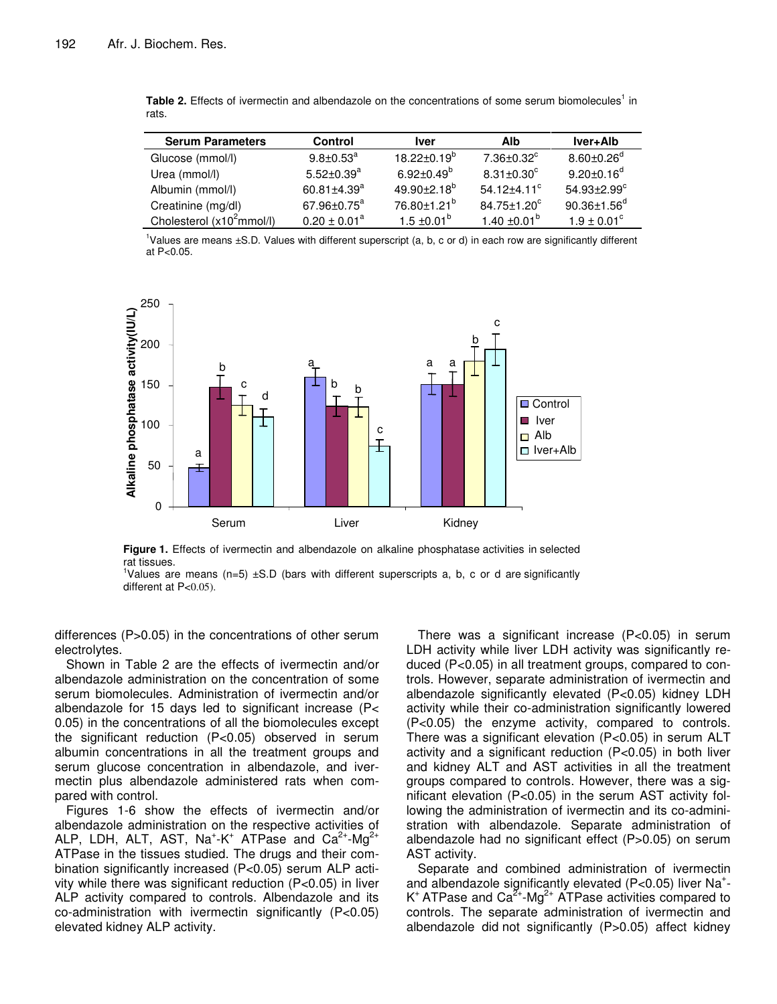| <b>Serum Parameters</b>      | <b>Control</b>         | <b>Iver</b>              | Alb                          | <b>Iver+Alb</b>               |
|------------------------------|------------------------|--------------------------|------------------------------|-------------------------------|
| Glucose (mmol/l)             | $9.8 \pm 0.53^{\circ}$ | $18.22 \pm 0.19^{\circ}$ | $7.36 \pm 0.32$ <sup>c</sup> | $8.60 \pm 0.26^\text{d}$      |
| Urea (mmol/l)                | $5.52 + 0.39^a$        | $6.92 \pm 0.49^b$        | $8.31 \pm 0.30^{\circ}$      | $9.20 \pm 0.16^{\circ}$       |
| Albumin (mmol/l)             | $60.81 \pm 4.39^a$     | $49.90 + 2.18^{b}$       | $54.12 + 4.11$ <sup>c</sup>  | $54.93 \pm 2.99$ <sup>c</sup> |
| Creatinine (mg/dl)           | $67.96 \pm 0.75^a$     | 76.80±1.21 <sup>b</sup>  | $84.75 \pm 1.20^{\circ}$     | $90.36 \pm 1.56$ <sup>d</sup> |
| Cholesterol $(x10^2$ mmol/l) | $0.20 \pm 0.01^a$      | $1.5 \pm 0.01^{\circ}$   | 1.40 $\pm$ 0.01 $^{\rm b}$   | $1.9 \pm 0.01^{\circ}$        |

Table 2. Effects of ivermectin and albendazole on the concentrations of some serum biomolecules<sup>1</sup> in rats.

<sup>1</sup>Values are means ±S.D. Values with different superscript (a, b, c or d) in each row are significantly different at P<0.05.



**Figure 1.** Effects of ivermectin and albendazole on alkaline phosphatase activities in selected rat tissues.

<sup>1</sup>Values are means (n=5)  $\pm$ S.D (bars with different superscripts a, b, c or d are significantly different at P<0.05).

differences (P>0.05) in the concentrations of other serum electrolytes.

Shown in Table 2 are the effects of ivermectin and/or albendazole administration on the concentration of some serum biomolecules. Administration of ivermectin and/or albendazole for 15 days led to significant increase (P< 0.05) in the concentrations of all the biomolecules except the significant reduction (P<0.05) observed in serum albumin concentrations in all the treatment groups and serum glucose concentration in albendazole, and ivermectin plus albendazole administered rats when compared with control.

Figures 1-6 show the effects of ivermectin and/or albendazole administration on the respective activities of ALP, LDH, ALT, AST, Na<sup>+</sup>-K<sup>+</sup> ATPase and Ca<sup>2+</sup>-Mg<sup>2+</sup> ATPase in the tissues studied. The drugs and their combination significantly increased (P<0.05) serum ALP activity while there was significant reduction (P<0.05) in liver ALP activity compared to controls. Albendazole and its co-administration with ivermectin significantly (P<0.05) elevated kidney ALP activity.

There was a significant increase (P<0.05) in serum LDH activity while liver LDH activity was significantly reduced (P<0.05) in all treatment groups, compared to controls. However, separate administration of ivermectin and albendazole significantly elevated (P<0.05) kidney LDH activity while their co-administration significantly lowered (P<0.05) the enzyme activity, compared to controls. There was a significant elevation (P<0.05) in serum ALT activity and a significant reduction (P<0.05) in both liver and kidney ALT and AST activities in all the treatment groups compared to controls. However, there was a significant elevation (P<0.05) in the serum AST activity following the administration of ivermectin and its co-administration with albendazole. Separate administration of albendazole had no significant effect (P>0.05) on serum AST activity.

Separate and combined administration of ivermectin and albendazole significantly elevated (P<0.05) liver Na<sup>+</sup>-K<sup>+</sup> ATPase and Ca<sup>2+</sup>-Mg<sup>2+</sup> ATPase activities compared to controls. The separate administration of ivermectin and albendazole did not significantly (P>0.05) affect kidney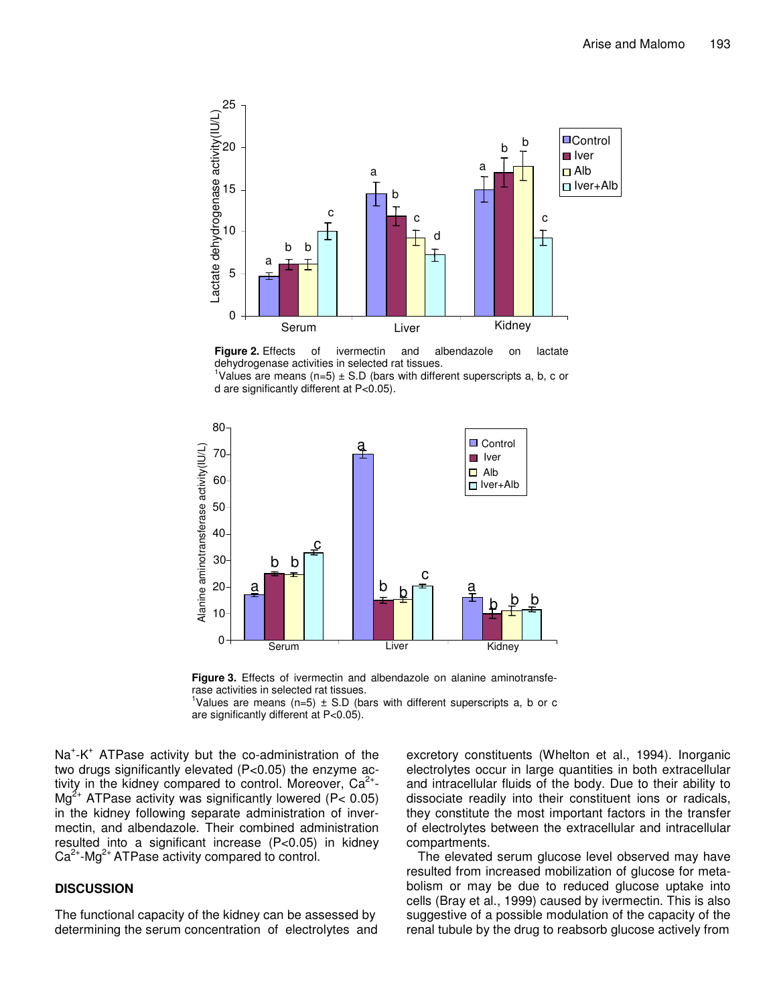

**Figure 2.** Effects of ivermectin and albendazole on lactate dehydrogenase activities in selected rat tissues.

<sup>1</sup>Values are means (n=5)  $\pm$  S.D (bars with different superscripts a, b, c or d are significantly different at P<0.05).





<sup>1</sup>Values are means (n=5)  $\pm$  S.D (bars with different superscripts a, b or c are significantly different at P<0.05).

Na<sup>+</sup>-K<sup>+</sup> ATPase activity but the co-administration of the two drugs significantly elevated (P<0.05) the enzyme activity in the kidney compared to control. Moreover, Ca<sup>2+</sup>-Mg<sup>2+</sup> ATPase activity was significantly lowered (P< 0.05) in the kidney following separate administration of invermectin, and albendazole. Their combined administration resulted into a significant increase (P<0.05) in kidney  $Ca<sup>2+</sup> - Mg<sup>2+</sup> ATPase$  activity compared to control.

#### **DISCUSSION**

The functional capacity of the kidney can be assessed by determining the serum concentration of electrolytes and

excretory constituents (Whelton et al., 1994). Inorganic electrolytes occur in large quantities in both extracellular and intracellular fluids of the body. Due to their ability to dissociate readily into their constituent ions or radicals, they constitute the most important factors in the transfer of electrolytes between the extracellular and intracellular compartments.

The elevated serum glucose level observed may have resulted from increased mobilization of glucose for metabolism or may be due to reduced glucose uptake into cells (Bray et al., 1999) caused by ivermectin. This is also suggestive of a possible modulation of the capacity of the renal tubule by the drug to reabsorb glucose actively from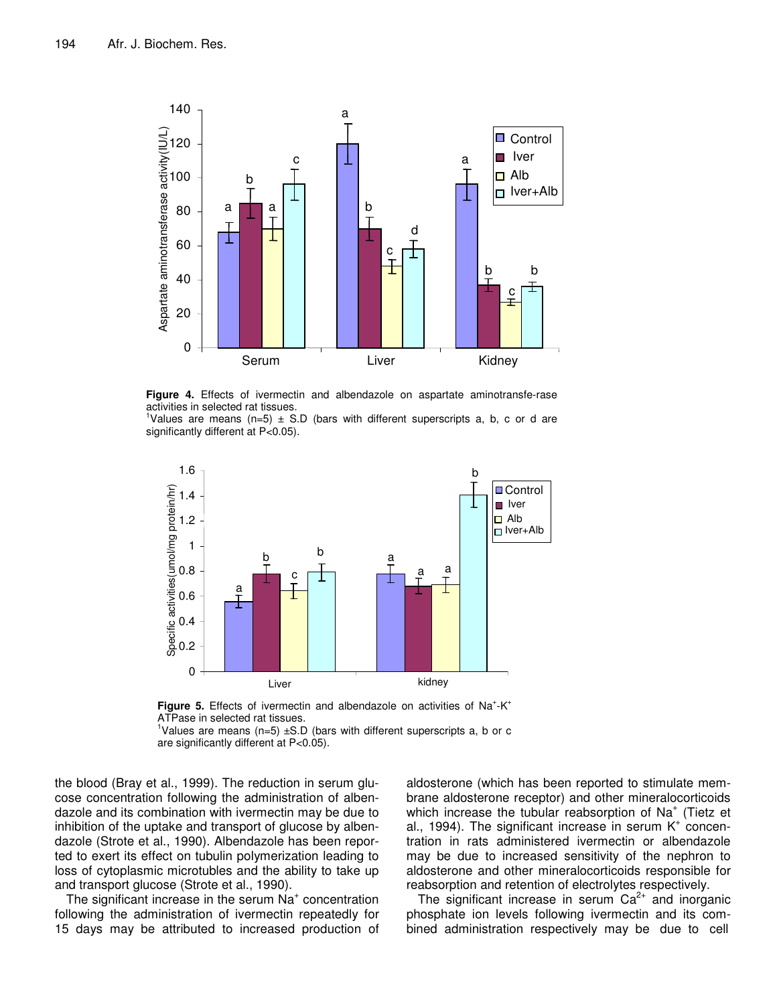

**Figure 4.** Effects of ivermectin and albendazole on aspartate aminotransfe-rase activities in selected rat tissues.

<sup>1</sup>Values are means (n=5)  $\pm$  S.D (bars with different superscripts a, b, c or d are significantly different at P<0.05).



Figure 5. Effects of ivermectin and albendazole on activities of Na<sup>+</sup>-K<sup>+</sup> ATPase in selected rat tissues.

<sup>1</sup>Values are means (n=5)  $\pm$ S.D (bars with different superscripts a, b or c are significantly different at P<0.05).

the blood (Bray et al., 1999). The reduction in serum glucose concentration following the administration of albendazole and its combination with ivermectin may be due to inhibition of the uptake and transport of glucose by albendazole (Strote et al., 1990). Albendazole has been reported to exert its effect on tubulin polymerization leading to loss of cytoplasmic microtubles and the ability to take up and transport glucose (Strote et al., 1990).

The significant increase in the serum  $Na<sup>+</sup>$  concentration following the administration of ivermectin repeatedly for 15 days may be attributed to increased production of

aldosterone (which has been reported to stimulate membrane aldosterone receptor) and other mineralocorticoids which increase the tubular reabsorption of Na<sup>+</sup> (Tietz et al., 1994). The significant increase in serum K<sup>+</sup> concentration in rats administered ivermectin or albendazole may be due to increased sensitivity of the nephron to aldosterone and other mineralocorticoids responsible for reabsorption and retention of electrolytes respectively.

The significant increase in serum  $Ca^{2+}$  and inorganic phosphate ion levels following ivermectin and its combined administration respectively may be due to cell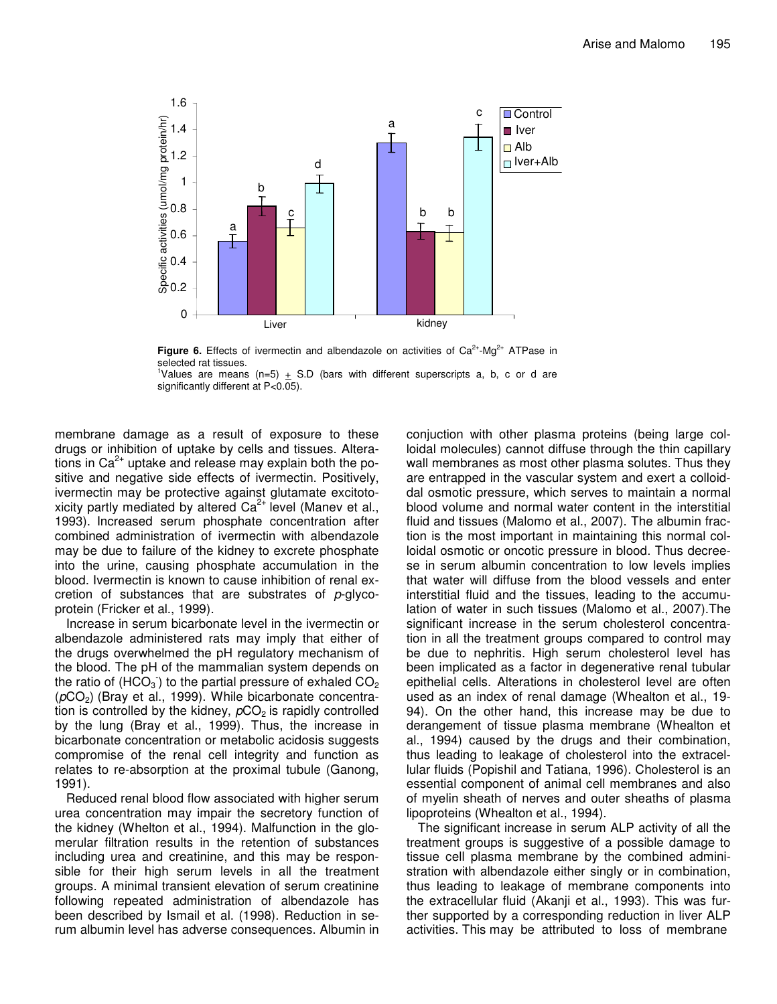

**Figure 6.** Effects of ivermectin and albendazole on activities of Ca<sup>2+</sup>-Mg<sup>2+</sup> ATPase in selected rat tissues.

<sup>1</sup>Values are means (n=5)  $\pm$  S.D (bars with different superscripts a, b, c or d are significantly different at P<0.05).

membrane damage as a result of exposure to these drugs or inhibition of uptake by cells and tissues. Alterations in Ca<sup>2+</sup> uptake and release may explain both the positive and negative side effects of ivermectin. Positively, ivermectin may be protective against glutamate excitotoxicity partly mediated by altered Ca<sup>2+</sup> level (Manev et al., 1993). Increased serum phosphate concentration after combined administration of ivermectin with albendazole may be due to failure of the kidney to excrete phosphate into the urine, causing phosphate accumulation in the blood. Ivermectin is known to cause inhibition of renal excretion of substances that are substrates of *p*-glycoprotein (Fricker et al., 1999).

Increase in serum bicarbonate level in the ivermectin or albendazole administered rats may imply that either of the drugs overwhelmed the pH regulatory mechanism of the blood. The pH of the mammalian system depends on the ratio of (HCO<sub>3</sub>) to the partial pressure of exhaled CO<sub>2</sub> ( $pCO<sub>2</sub>$ ) (Bray et al., 1999). While bicarbonate concentration is controlled by the kidney,  $pCO<sub>2</sub>$  is rapidly controlled by the lung (Bray et al., 1999). Thus, the increase in bicarbonate concentration or metabolic acidosis suggests compromise of the renal cell integrity and function as relates to re-absorption at the proximal tubule (Ganong, 1991).

Reduced renal blood flow associated with higher serum urea concentration may impair the secretory function of the kidney (Whelton et al., 1994). Malfunction in the glomerular filtration results in the retention of substances including urea and creatinine, and this may be responsible for their high serum levels in all the treatment groups. A minimal transient elevation of serum creatinine following repeated administration of albendazole has been described by Ismail et al. (1998). Reduction in serum albumin level has adverse consequences. Albumin in

conjuction with other plasma proteins (being large colloidal molecules) cannot diffuse through the thin capillary wall membranes as most other plasma solutes. Thus they are entrapped in the vascular system and exert a colloiddal osmotic pressure, which serves to maintain a normal blood volume and normal water content in the interstitial fluid and tissues (Malomo et al., 2007). The albumin fraction is the most important in maintaining this normal colloidal osmotic or oncotic pressure in blood. Thus decreese in serum albumin concentration to low levels implies that water will diffuse from the blood vessels and enter interstitial fluid and the tissues, leading to the accumulation of water in such tissues (Malomo et al., 2007).The significant increase in the serum cholesterol concentration in all the treatment groups compared to control may be due to nephritis. High serum cholesterol level has been implicated as a factor in degenerative renal tubular epithelial cells. Alterations in cholesterol level are often used as an index of renal damage (Whealton et al., 19- 94). On the other hand, this increase may be due to derangement of tissue plasma membrane (Whealton et al., 1994) caused by the drugs and their combination, thus leading to leakage of cholesterol into the extracellular fluids (Popishil and Tatiana, 1996). Cholesterol is an essential component of animal cell membranes and also of myelin sheath of nerves and outer sheaths of plasma lipoproteins (Whealton et al., 1994).

The significant increase in serum ALP activity of all the treatment groups is suggestive of a possible damage to tissue cell plasma membrane by the combined administration with albendazole either singly or in combination, thus leading to leakage of membrane components into the extracellular fluid (Akanji et al., 1993). This was further supported by a corresponding reduction in liver ALP activities. This may be attributed to loss of membrane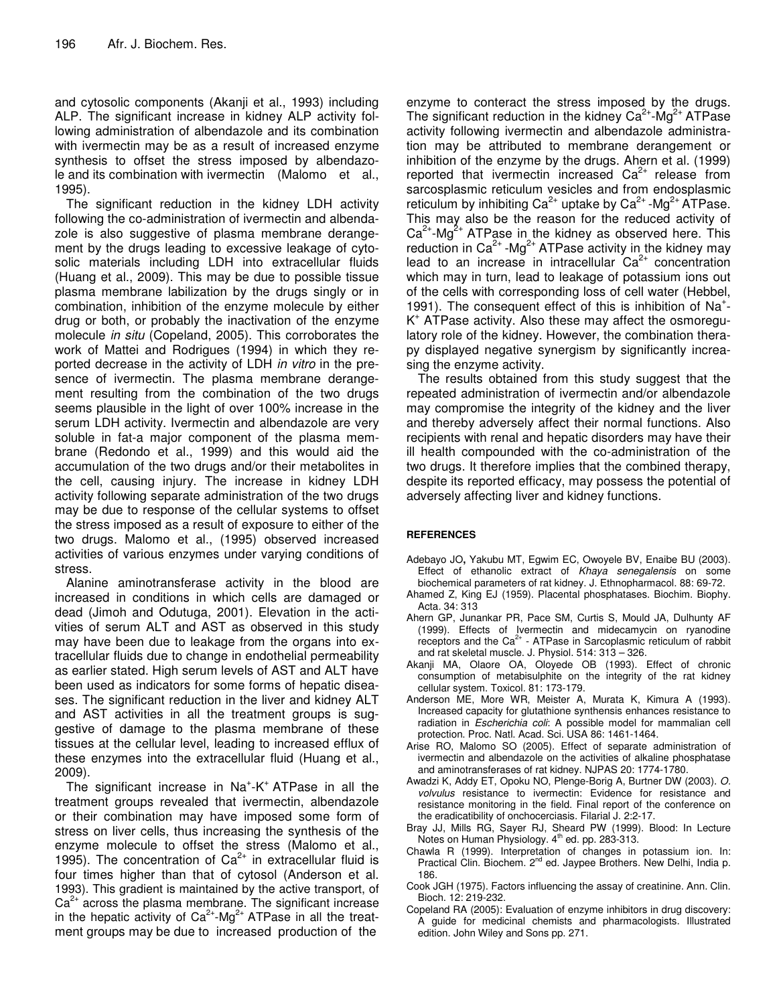and cytosolic components (Akanji et al., 1993) including ALP. The significant increase in kidney ALP activity following administration of albendazole and its combination with ivermectin may be as a result of increased enzyme synthesis to offset the stress imposed by albendazole and its combination with ivermectin (Malomo et al., 1995).

The significant reduction in the kidney LDH activity following the co-administration of ivermectin and albendazole is also suggestive of plasma membrane derangement by the drugs leading to excessive leakage of cytosolic materials including LDH into extracellular fluids (Huang et al., 2009). This may be due to possible tissue plasma membrane labilization by the drugs singly or in combination, inhibition of the enzyme molecule by either drug or both, or probably the inactivation of the enzyme molecule *in situ* (Copeland, 2005). This corroborates the work of Mattei and Rodrigues (1994) in which they reported decrease in the activity of LDH *in vitro* in the presence of ivermectin. The plasma membrane derangement resulting from the combination of the two drugs seems plausible in the light of over 100% increase in the serum LDH activity. Ivermectin and albendazole are very soluble in fat-a major component of the plasma membrane (Redondo et al., 1999) and this would aid the accumulation of the two drugs and/or their metabolites in the cell, causing injury. The increase in kidney LDH activity following separate administration of the two drugs may be due to response of the cellular systems to offset the stress imposed as a result of exposure to either of the two drugs. Malomo et al., (1995) observed increased activities of various enzymes under varying conditions of stress.

Alanine aminotransferase activity in the blood are increased in conditions in which cells are damaged or dead (Jimoh and Odutuga, 2001). Elevation in the activities of serum ALT and AST as observed in this study may have been due to leakage from the organs into extracellular fluids due to change in endothelial permeability as earlier stated. High serum levels of AST and ALT have been used as indicators for some forms of hepatic diseases. The significant reduction in the liver and kidney ALT and AST activities in all the treatment groups is suggestive of damage to the plasma membrane of these tissues at the cellular level, leading to increased efflux of these enzymes into the extracellular fluid (Huang et al., 2009).

The significant increase in Na<sup>+</sup>-K<sup>+</sup> ATPase in all the treatment groups revealed that ivermectin, albendazole or their combination may have imposed some form of stress on liver cells, thus increasing the synthesis of the enzyme molecule to offset the stress (Malomo et al., 1995). The concentration of  $Ca^{2+}$  in extracellular fluid is four times higher than that of cytosol (Anderson et al. 1993). This gradient is maintained by the active transport, of  $Ca<sup>2+</sup>$  across the plasma membrane. The significant increase in the hepatic activity of Ca<sup>2+</sup>-Mg<sup>2+</sup> ATPase in all the treatment groups may be due to increased production of the

enzyme to conteract the stress imposed by the drugs. The significant reduction in the kidney  $Ca^{2+}$ -Mg<sup>2+</sup> ATPase activity following ivermectin and albendazole administration may be attributed to membrane derangement or inhibition of the enzyme by the drugs. Ahern et al. (1999) reported that ivermectin increased Ca<sup>2+</sup> release from sarcosplasmic reticulum vesicles and from endosplasmic reticulum by inhibiting Ca<sup>2+</sup> uptake by Ca<sup>2+</sup> -Mg<sup>2+</sup> ATPase. This may also be the reason for the reduced activity of  $Ca<sup>2+</sup> - Mg<sup>2+</sup>$  ATPase in the kidney as observed here. This reduction in Ca<sup>2+</sup> -Mg<sup>2+</sup> ATPase activity in the kidney may lead to an increase in intracellular Ca<sup>2+</sup> concentration which may in turn, lead to leakage of potassium ions out of the cells with corresponding loss of cell water (Hebbel, 1991). The consequent effect of this is inhibition of Na<sup>+</sup>-K + ATPase activity. Also these may affect the osmoregulatory role of the kidney. However, the combination therapy displayed negative synergism by significantly increasing the enzyme activity.

The results obtained from this study suggest that the repeated administration of ivermectin and/or albendazole may compromise the integrity of the kidney and the liver and thereby adversely affect their normal functions. Also recipients with renal and hepatic disorders may have their ill health compounded with the co-administration of the two drugs. It therefore implies that the combined therapy, despite its reported efficacy, may possess the potential of adversely affecting liver and kidney functions.

#### **REFERENCES**

- Adebayo JO**,** Yakubu MT, Egwim EC, Owoyele BV, Enaibe BU (2003). Effect of ethanolic extract of *Khaya senegalensis* on some biochemical parameters of rat kidney. J. Ethnopharmacol. 88: 69-72.
- Ahamed Z, King EJ (1959). Placental phosphatases. Biochim. Biophy. Acta*.* 34: 313
- Ahern GP, Junankar PR, Pace SM, Curtis S, Mould JA, Dulhunty AF (1999). Effects of Ivermectin and midecamycin on ryanodine receptors and the Ca<sup>2+</sup> - ATPase in Sarcoplasmic reticulum of rabbit and rat skeletal muscle. J. Physiol. 514: 313 – 326.
- Akanji MA, Olaore OA, Oloyede OB (1993). Effect of chronic consumption of metabisulphite on the integrity of the rat kidney cellular system. Toxicol*.* 81: 173-179.
- Anderson ME, More WR, Meister A, Murata K, Kimura A (1993). Increased capacity for glutathione synthensis enhances resistance to radiation in *Escherichia coli*: A possible model for mammalian cell protection. Proc. Natl. Acad. Sci. USA 86: 1461-1464.
- Arise RO, Malomo SO (2005). Effect of separate administration of ivermectin and albendazole on the activities of alkaline phosphatase and aminotransferases of rat kidney. NJPAS 20: 1774-1780.
- Awadzi K, Addy ET, Opoku NO, Plenge-Borig A, Burtner DW (2003). *O. volvulus* resistance to ivermectin: Evidence for resistance and resistance monitoring in the field. Final report of the conference on the eradicatibility of onchocerciasis. Filarial J. 2:2-17.
- Bray JJ, Mills RG, Sayer RJ, Sheard PW (1999). Blood: In Lecture Notes on Human Physiology. 4<sup>th</sup> ed. pp. 283-313.
- Chawla R (1999). Interpretation of changes in potassium ion. In: Practical Clin. Biochem. 2<sup>nd</sup> ed. Jaypee Brothers. New Delhi, India p. 186.
- Cook JGH (1975). Factors influencing the assay of creatinine. Ann. Clin. Bioch. 12: 219-232.
- Copeland RA (2005): Evaluation of enzyme inhibitors in drug discovery: A guide for medicinal chemists and pharmacologists. Illustrated edition. John Wiley and Sons pp. 271.